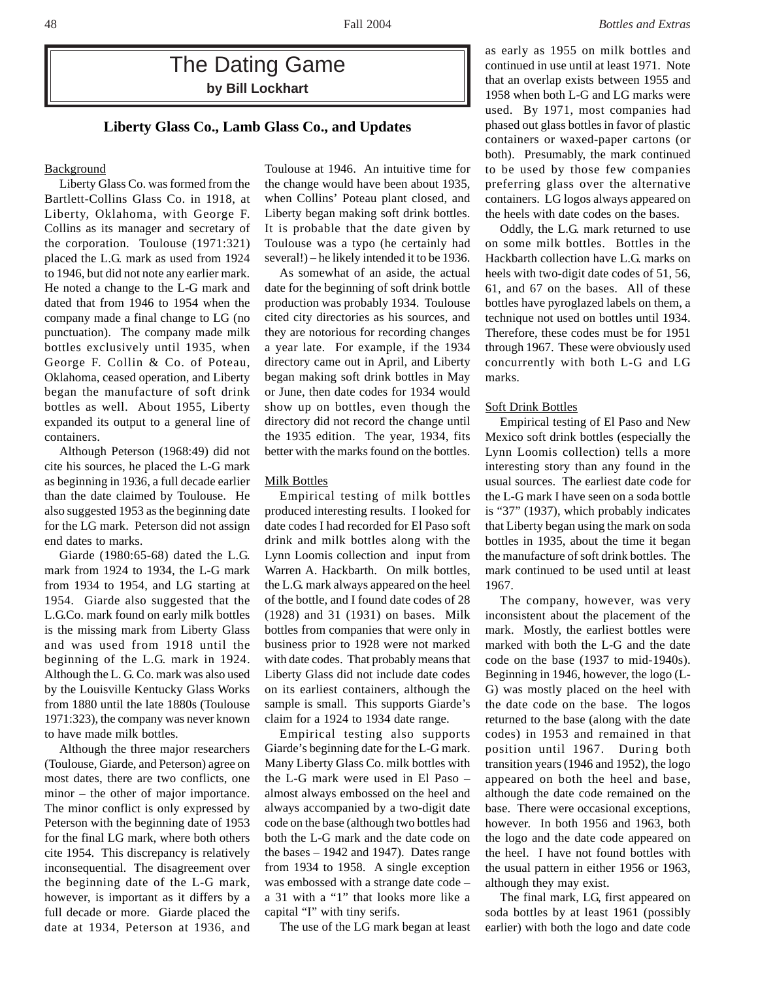# The Dating Game **by Bill Lockhart**

## **Liberty Glass Co., Lamb Glass Co., and Updates**

## **Background**

Liberty Glass Co. was formed from the Bartlett-Collins Glass Co. in 1918, at Liberty, Oklahoma, with George F. Collins as its manager and secretary of the corporation. Toulouse (1971:321) placed the L.G. mark as used from 1924 to 1946, but did not note any earlier mark. He noted a change to the L-G mark and dated that from 1946 to 1954 when the company made a final change to LG (no punctuation). The company made milk bottles exclusively until 1935, when George F. Collin & Co. of Poteau, Oklahoma, ceased operation, and Liberty began the manufacture of soft drink bottles as well. About 1955, Liberty expanded its output to a general line of containers.

Although Peterson (1968:49) did not cite his sources, he placed the L-G mark as beginning in 1936, a full decade earlier than the date claimed by Toulouse. He also suggested 1953 as the beginning date for the LG mark. Peterson did not assign end dates to marks.

Giarde (1980:65-68) dated the L.G. mark from 1924 to 1934, the L-G mark from 1934 to 1954, and LG starting at 1954. Giarde also suggested that the L.G.Co. mark found on early milk bottles is the missing mark from Liberty Glass and was used from 1918 until the beginning of the L.G. mark in 1924. Although the L. G. Co. mark was also used by the Louisville Kentucky Glass Works from 1880 until the late 1880s (Toulouse 1971:323), the company was never known to have made milk bottles.

Although the three major researchers (Toulouse, Giarde, and Peterson) agree on most dates, there are two conflicts, one minor – the other of major importance. The minor conflict is only expressed by Peterson with the beginning date of 1953 for the final LG mark, where both others cite 1954. This discrepancy is relatively inconsequential. The disagreement over the beginning date of the L-G mark, however, is important as it differs by a full decade or more. Giarde placed the date at 1934, Peterson at 1936, and

Toulouse at 1946. An intuitive time for the change would have been about 1935, when Collins' Poteau plant closed, and Liberty began making soft drink bottles. It is probable that the date given by Toulouse was a typo (he certainly had several!) – he likely intended it to be 1936.

As somewhat of an aside, the actual date for the beginning of soft drink bottle production was probably 1934. Toulouse cited city directories as his sources, and they are notorious for recording changes a year late. For example, if the 1934 directory came out in April, and Liberty began making soft drink bottles in May or June, then date codes for 1934 would show up on bottles, even though the directory did not record the change until the 1935 edition. The year, 1934, fits better with the marks found on the bottles.

#### Milk Bottles

Empirical testing of milk bottles produced interesting results. I looked for date codes I had recorded for El Paso soft drink and milk bottles along with the Lynn Loomis collection and input from Warren A. Hackbarth. On milk bottles, the L.G. mark always appeared on the heel of the bottle, and I found date codes of 28 (1928) and 31 (1931) on bases. Milk bottles from companies that were only in business prior to 1928 were not marked with date codes. That probably means that Liberty Glass did not include date codes on its earliest containers, although the sample is small. This supports Giarde's claim for a 1924 to 1934 date range.

Empirical testing also supports Giarde's beginning date for the L-G mark. Many Liberty Glass Co. milk bottles with the L-G mark were used in El Paso – almost always embossed on the heel and always accompanied by a two-digit date code on the base (although two bottles had both the L-G mark and the date code on the bases – 1942 and 1947). Dates range from 1934 to 1958. A single exception was embossed with a strange date code – a 31 with a "1" that looks more like a capital "I" with tiny serifs.

The use of the LG mark began at least

as early as 1955 on milk bottles and continued in use until at least 1971. Note that an overlap exists between 1955 and 1958 when both L-G and LG marks were used. By 1971, most companies had phased out glass bottles in favor of plastic containers or waxed-paper cartons (or both). Presumably, the mark continued to be used by those few companies preferring glass over the alternative containers. LG logos always appeared on the heels with date codes on the bases.

Oddly, the L.G. mark returned to use on some milk bottles. Bottles in the Hackbarth collection have L.G. marks on heels with two-digit date codes of 51, 56, 61, and 67 on the bases. All of these bottles have pyroglazed labels on them, a technique not used on bottles until 1934. Therefore, these codes must be for 1951 through 1967. These were obviously used concurrently with both L-G and LG marks.

### Soft Drink Bottles

Empirical testing of El Paso and New Mexico soft drink bottles (especially the Lynn Loomis collection) tells a more interesting story than any found in the usual sources. The earliest date code for the L-G mark I have seen on a soda bottle is "37" (1937), which probably indicates that Liberty began using the mark on soda bottles in 1935, about the time it began the manufacture of soft drink bottles. The mark continued to be used until at least 1967.

The company, however, was very inconsistent about the placement of the mark. Mostly, the earliest bottles were marked with both the L-G and the date code on the base (1937 to mid-1940s). Beginning in 1946, however, the logo (L-G) was mostly placed on the heel with the date code on the base. The logos returned to the base (along with the date codes) in 1953 and remained in that position until 1967. During both transition years (1946 and 1952), the logo appeared on both the heel and base, although the date code remained on the base. There were occasional exceptions, however. In both 1956 and 1963, both the logo and the date code appeared on the heel. I have not found bottles with the usual pattern in either 1956 or 1963, although they may exist.

The final mark, LG, first appeared on soda bottles by at least 1961 (possibly earlier) with both the logo and date code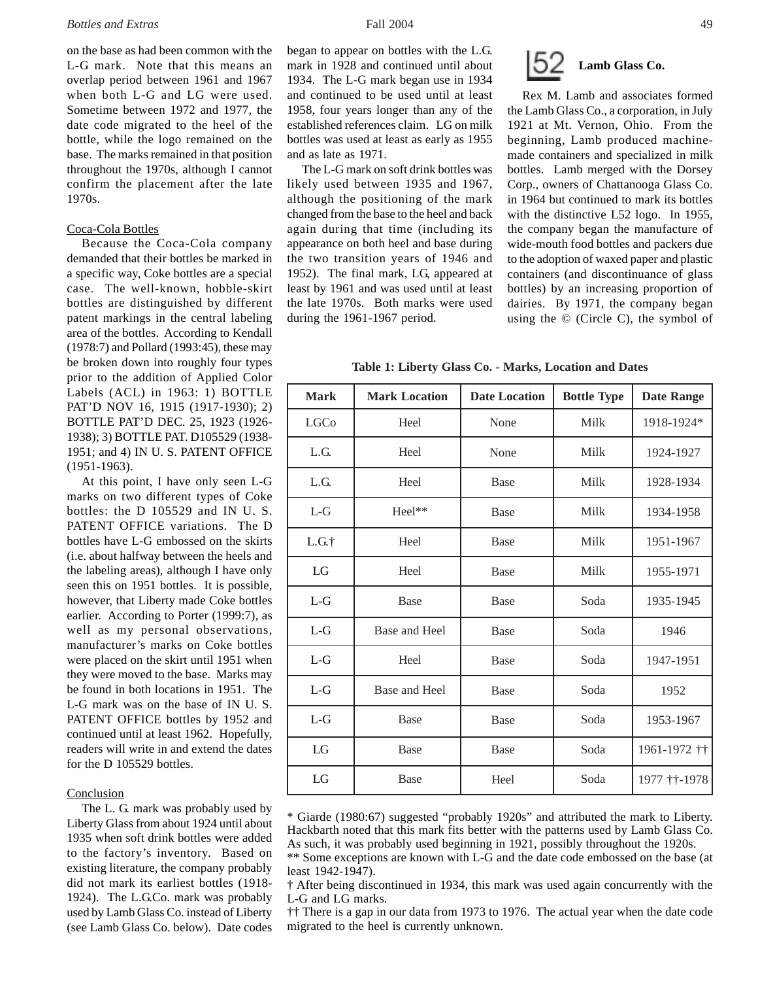on the base as had been common with the L-G mark. Note that this means an overlap period between 1961 and 1967 when both L-G and LG were used. Sometime between 1972 and 1977, the date code migrated to the heel of the bottle, while the logo remained on the base. The marks remained in that position throughout the 1970s, although I cannot confirm the placement after the late 1970s.

#### Coca-Cola Bottles

Because the Coca-Cola company demanded that their bottles be marked in a specific way, Coke bottles are a special case. The well-known, hobble-skirt bottles are distinguished by different patent markings in the central labeling area of the bottles. According to Kendall (1978:7) and Pollard (1993:45), these may be broken down into roughly four types prior to the addition of Applied Color Labels (ACL) in 1963: 1) BOTTLE PAT'D NOV 16, 1915 (1917-1930); 2) BOTTLE PAT'D DEC. 25, 1923 (1926- 1938); 3) BOTTLE PAT. D105529 (1938- 1951; and 4) IN U. S. PATENT OFFICE (1951-1963).

At this point, I have only seen L-G marks on two different types of Coke bottles: the D 105529 and IN U. S. PATENT OFFICE variations. The D bottles have L-G embossed on the skirts (i.e. about halfway between the heels and the labeling areas), although I have only seen this on 1951 bottles. It is possible, however, that Liberty made Coke bottles earlier. According to Porter (1999:7), as well as my personal observations, manufacturer's marks on Coke bottles were placed on the skirt until 1951 when they were moved to the base. Marks may be found in both locations in 1951. The L-G mark was on the base of IN U. S. PATENT OFFICE bottles by 1952 and continued until at least 1962. Hopefully, readers will write in and extend the dates for the D 105529 bottles.

## **Conclusion**

The L. G. mark was probably used by Liberty Glass from about 1924 until about 1935 when soft drink bottles were added to the factory's inventory. Based on existing literature, the company probably did not mark its earliest bottles (1918- 1924). The L.G.Co. mark was probably used by Lamb Glass Co. instead of Liberty (see Lamb Glass Co. below). Date codes began to appear on bottles with the L.G. mark in 1928 and continued until about 1934. The L-G mark began use in 1934 and continued to be used until at least 1958, four years longer than any of the established references claim. LG on milk bottles was used at least as early as 1955 and as late as 1971.

The L-G mark on soft drink bottles was likely used between 1935 and 1967, although the positioning of the mark changed from the base to the heel and back again during that time (including its appearance on both heel and base during the two transition years of 1946 and 1952). The final mark, LG, appeared at least by 1961 and was used until at least the late 1970s. Both marks were used during the 1961-1967 period.



Rex M. Lamb and associates formed the Lamb Glass Co., a corporation, in July 1921 at Mt. Vernon, Ohio. From the beginning, Lamb produced machinemade containers and specialized in milk bottles. Lamb merged with the Dorsey Corp., owners of Chattanooga Glass Co. in 1964 but continued to mark its bottles with the distinctive L52 logo. In 1955, the company began the manufacture of wide-mouth food bottles and packers due to the adoption of waxed paper and plastic containers (and discontinuance of glass bottles) by an increasing proportion of dairies. By 1971, the company began using the © (Circle C), the symbol of

**Table 1: Liberty Glass Co. - Marks, Location and Dates**

| <b>Mark</b> | <b>Mark Location</b> | <b>Date Location</b> | <b>Bottle Type</b> | <b>Date Range</b> |
|-------------|----------------------|----------------------|--------------------|-------------------|
| <b>LGCo</b> | Heel                 | None                 | Milk               | 1918-1924*        |
| L.G.        | Heel                 | None                 | Milk               | 1924-1927         |
| L.G.        | Heel                 | <b>Base</b>          | Milk               | 1928-1934         |
| $L-G$       | Heel**               | <b>Base</b>          | Milk               | 1934-1958         |
| L.G.t       | Heel                 | <b>Base</b>          | Milk               | 1951-1967         |
| LG          | Heel                 | <b>Base</b>          | Milk               | 1955-1971         |
| $L-G$       | Base                 | <b>Base</b>          | Soda               | 1935-1945         |
| $L-G$       | Base and Heel        | <b>Base</b>          | Soda               | 1946              |
| $L-G$       | Heel                 | <b>Base</b>          | Soda               | 1947-1951         |
| $L-G$       | Base and Heel        | <b>Base</b>          | Soda               | 1952              |
| $L-G$       | Base                 | <b>Base</b>          | Soda               | 1953-1967         |
| LG          | Base                 | <b>Base</b>          | Soda               | 1961-1972 ††      |
| LG          | Base                 | Heel                 | Soda               | 1977 † † - 1978   |

\* Giarde (1980:67) suggested "probably 1920s" and attributed the mark to Liberty. Hackbarth noted that this mark fits better with the patterns used by Lamb Glass Co. As such, it was probably used beginning in 1921, possibly throughout the 1920s.

\*\* Some exceptions are known with L-G and the date code embossed on the base (at least 1942-1947).

†† There is a gap in our data from 1973 to 1976. The actual year when the date code migrated to the heel is currently unknown.

<sup>†</sup> After being discontinued in 1934, this mark was used again concurrently with the L-G and LG marks.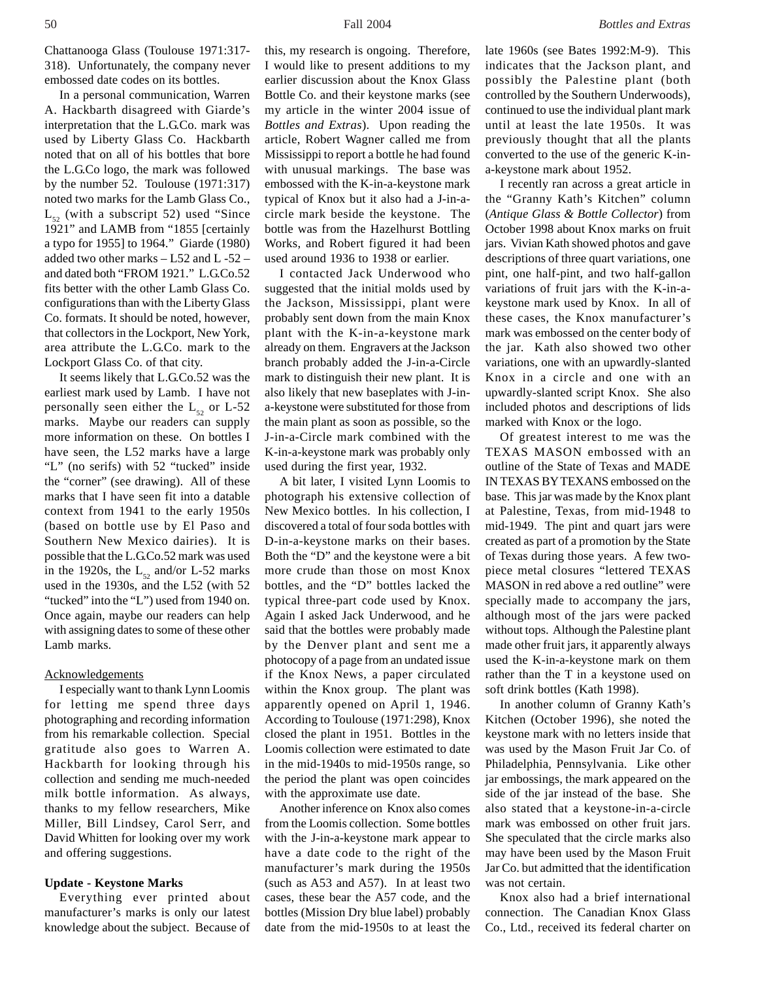Chattanooga Glass (Toulouse 1971:317- 318). Unfortunately, the company never embossed date codes on its bottles.

In a personal communication, Warren A. Hackbarth disagreed with Giarde's interpretation that the L.G.Co. mark was used by Liberty Glass Co. Hackbarth noted that on all of his bottles that bore the L.G.Co logo, the mark was followed by the number 52. Toulouse (1971:317) noted two marks for the Lamb Glass Co.,  $L_{52}$  (with a subscript 52) used "Since 1921" and LAMB from "1855 [certainly a typo for 1955] to 1964." Giarde (1980) added two other marks – L52 and L -52 – and dated both "FROM 1921." L.G.Co.52 fits better with the other Lamb Glass Co. configurations than with the Liberty Glass Co. formats. It should be noted, however, that collectors in the Lockport, New York, area attribute the L.G.Co. mark to the Lockport Glass Co. of that city.

It seems likely that L.G.Co.52 was the earliest mark used by Lamb. I have not personally seen either the  $L_{52}$  or L-52 marks. Maybe our readers can supply more information on these. On bottles I have seen, the L52 marks have a large "L" (no serifs) with 52 "tucked" inside the "corner" (see drawing). All of these marks that I have seen fit into a datable context from 1941 to the early 1950s (based on bottle use by El Paso and Southern New Mexico dairies). It is possible that the L.G.Co.52 mark was used in the 1920s, the  $L_{52}$  and/or L-52 marks used in the 1930s, and the L52 (with 52 "tucked" into the "L") used from 1940 on. Once again, maybe our readers can help with assigning dates to some of these other Lamb marks.

## Acknowledgements

I especially want to thank Lynn Loomis for letting me spend three days photographing and recording information from his remarkable collection. Special gratitude also goes to Warren A. Hackbarth for looking through his collection and sending me much-needed milk bottle information. As always, thanks to my fellow researchers, Mike Miller, Bill Lindsey, Carol Serr, and David Whitten for looking over my work and offering suggestions.

### **Update - Keystone Marks**

Everything ever printed about manufacturer's marks is only our latest knowledge about the subject. Because of this, my research is ongoing. Therefore, I would like to present additions to my earlier discussion about the Knox Glass Bottle Co. and their keystone marks (see my article in the winter 2004 issue of *Bottles and Extras*). Upon reading the article, Robert Wagner called me from Mississippi to report a bottle he had found with unusual markings. The base was embossed with the K-in-a-keystone mark typical of Knox but it also had a J-in-acircle mark beside the keystone. The bottle was from the Hazelhurst Bottling Works, and Robert figured it had been used around 1936 to 1938 or earlier.

I contacted Jack Underwood who suggested that the initial molds used by the Jackson, Mississippi, plant were probably sent down from the main Knox plant with the K-in-a-keystone mark already on them. Engravers at the Jackson branch probably added the J-in-a-Circle mark to distinguish their new plant. It is also likely that new baseplates with J-ina-keystone were substituted for those from the main plant as soon as possible, so the J-in-a-Circle mark combined with the K-in-a-keystone mark was probably only used during the first year, 1932.

A bit later, I visited Lynn Loomis to photograph his extensive collection of New Mexico bottles. In his collection, I discovered a total of four soda bottles with D-in-a-keystone marks on their bases. Both the "D" and the keystone were a bit more crude than those on most Knox bottles, and the "D" bottles lacked the typical three-part code used by Knox. Again I asked Jack Underwood, and he said that the bottles were probably made by the Denver plant and sent me a photocopy of a page from an undated issue if the Knox News, a paper circulated within the Knox group. The plant was apparently opened on April 1, 1946. According to Toulouse (1971:298), Knox closed the plant in 1951. Bottles in the Loomis collection were estimated to date in the mid-1940s to mid-1950s range, so the period the plant was open coincides with the approximate use date.

Another inference on Knox also comes from the Loomis collection. Some bottles with the J-in-a-keystone mark appear to have a date code to the right of the manufacturer's mark during the 1950s (such as A53 and A57). In at least two cases, these bear the A57 code, and the bottles (Mission Dry blue label) probably date from the mid-1950s to at least the

late 1960s (see Bates 1992:M-9). This indicates that the Jackson plant, and possibly the Palestine plant (both controlled by the Southern Underwoods), continued to use the individual plant mark until at least the late 1950s. It was previously thought that all the plants converted to the use of the generic K-ina-keystone mark about 1952.

I recently ran across a great article in the "Granny Kath's Kitchen" column (*Antique Glass & Bottle Collector*) from October 1998 about Knox marks on fruit jars. Vivian Kath showed photos and gave descriptions of three quart variations, one pint, one half-pint, and two half-gallon variations of fruit jars with the K-in-akeystone mark used by Knox. In all of these cases, the Knox manufacturer's mark was embossed on the center body of the jar. Kath also showed two other variations, one with an upwardly-slanted Knox in a circle and one with an upwardly-slanted script Knox. She also included photos and descriptions of lids marked with Knox or the logo.

Of greatest interest to me was the TEXAS MASON embossed with an outline of the State of Texas and MADE IN TEXAS BY TEXANS embossed on the base. This jar was made by the Knox plant at Palestine, Texas, from mid-1948 to mid-1949. The pint and quart jars were created as part of a promotion by the State of Texas during those years. A few twopiece metal closures "lettered TEXAS MASON in red above a red outline" were specially made to accompany the jars, although most of the jars were packed without tops. Although the Palestine plant made other fruit jars, it apparently always used the K-in-a-keystone mark on them rather than the T in a keystone used on soft drink bottles (Kath 1998).

In another column of Granny Kath's Kitchen (October 1996), she noted the keystone mark with no letters inside that was used by the Mason Fruit Jar Co. of Philadelphia, Pennsylvania. Like other jar embossings, the mark appeared on the side of the jar instead of the base. She also stated that a keystone-in-a-circle mark was embossed on other fruit jars. She speculated that the circle marks also may have been used by the Mason Fruit Jar Co. but admitted that the identification was not certain.

Knox also had a brief international connection. The Canadian Knox Glass Co., Ltd., received its federal charter on